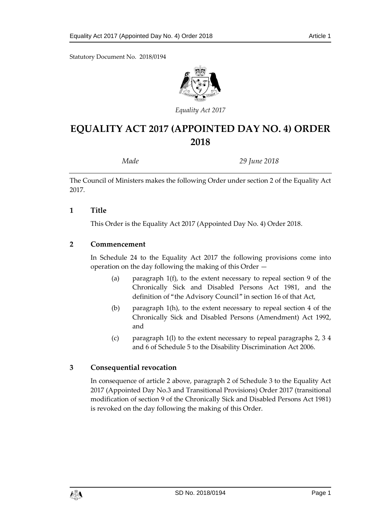Statutory Document No. 2018/0194



*Equality Act 2017*

# **EQUALITY ACT 2017 (APPOINTED DAY NO. 4) ORDER 2018**

*Made 29 June 2018*

The Council of Ministers makes the following Order under section 2 of the Equality Act 2017.

#### **1 Title**

This Order is the Equality Act 2017 (Appointed Day No. 4) Order 2018.

#### **2 Commencement**

In Schedule 24 to the Equality Act 2017 the following provisions come into operation on the day following the making of this Order —

- (a) paragraph 1(f), to the extent necessary to repeal section 9 of the Chronically Sick and Disabled Persons Act 1981, and the definition of "the Advisory Council" in section 16 of that Act,
- (b) paragraph 1(h), to the extent necessary to repeal section 4 of the Chronically Sick and Disabled Persons (Amendment) Act 1992, and
- (c) paragraph 1(l) to the extent necessary to repeal paragraphs 2, 3 4 and 6 of Schedule 5 to the Disability Discrimination Act 2006.

#### **3 Consequential revocation**

In consequence of article 2 above, paragraph 2 of Schedule 3 to the Equality Act 2017 (Appointed Day No.3 and Transitional Provisions) Order 2017 (transitional modification of section 9 of the Chronically Sick and Disabled Persons Act 1981) is revoked on the day following the making of this Order.

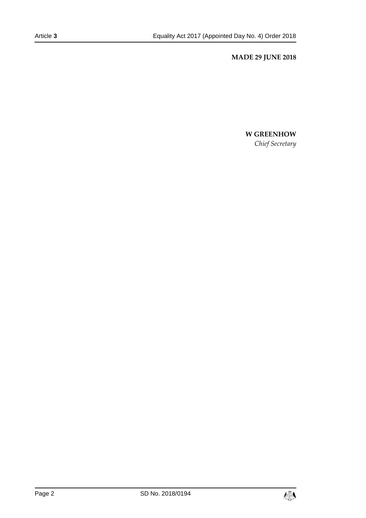#### **MADE 29 JUNE 2018**

## **W GREENHOW**

*Chief Secretary*